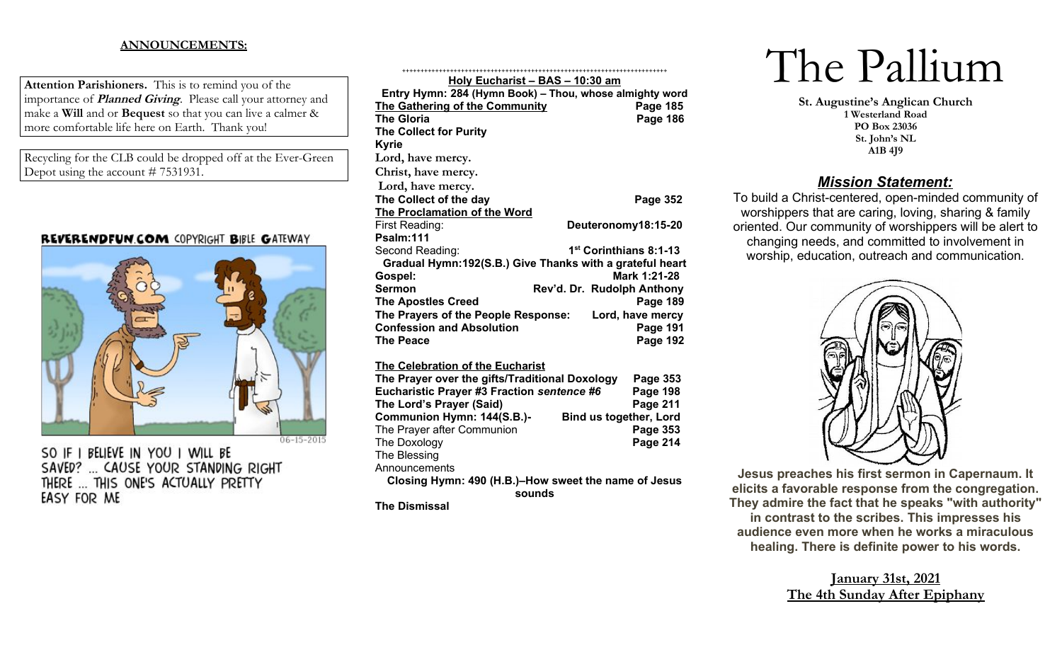## **ANNOUNCEMENTS:**

**Attention Parishioners.** This is to remind you of the importance of **Planned Giving**. Please call your attorney and make a **Will** and or **Bequest** so that you can live a calmer & more comfortable life here on Earth. Thank you!

Recycling for the CLB could be dropped off at the Ever-Green Depot using the account # 7531931.

## REVERENDFUN.COM COPYRIGHT BIBLE GATEWAY



SO IF I BELIEVE IN YOU I WILL BE SAVED? ... CAUSE YOUR STANDING RIGHT THERE ... THIS ONE'S ACTUALLY PRETTY EASY FOR ME

| <u>- 2001 1910 - 27 M</u><br>.                                                                   |                                    |  |  |  |  |  |  |
|--------------------------------------------------------------------------------------------------|------------------------------------|--|--|--|--|--|--|
| Entry Hymn: 284 (Hymn Book) - Thou, whose almighty word<br><b>The Gathering of the Community</b> | Page 185                           |  |  |  |  |  |  |
| <b>The Gloria</b>                                                                                | <b>Page 186</b>                    |  |  |  |  |  |  |
| <b>The Collect for Purity</b>                                                                    |                                    |  |  |  |  |  |  |
| <b>Kyrie</b>                                                                                     |                                    |  |  |  |  |  |  |
| Lord, have mercy.                                                                                |                                    |  |  |  |  |  |  |
| Christ, have mercy.                                                                              |                                    |  |  |  |  |  |  |
| Lord, have mercy.                                                                                |                                    |  |  |  |  |  |  |
| The Collect of the day                                                                           | <b>Page 352</b>                    |  |  |  |  |  |  |
| The Proclamation of the Word                                                                     |                                    |  |  |  |  |  |  |
| First Reading:                                                                                   | Deuteronomy18:15-20                |  |  |  |  |  |  |
| Psalm:111                                                                                        |                                    |  |  |  |  |  |  |
| Second Reading:                                                                                  | 1 <sup>st</sup> Corinthians 8:1-13 |  |  |  |  |  |  |
| Gradual Hymn:192(S.B.) Give Thanks with a grateful heart                                         |                                    |  |  |  |  |  |  |
| Gospel:                                                                                          | Mark 1:21-28                       |  |  |  |  |  |  |
| <b>Sermon</b><br>Rev'd. Dr. Rudolph Anthony                                                      |                                    |  |  |  |  |  |  |
| <b>The Apostles Creed</b>                                                                        | <b>Page 189</b>                    |  |  |  |  |  |  |
| The Prayers of the People Response:                                                              | Lord, have mercy                   |  |  |  |  |  |  |
| <b>Confession and Absolution</b>                                                                 | <b>Page 191</b>                    |  |  |  |  |  |  |
| <b>The Peace</b>                                                                                 | Page 192                           |  |  |  |  |  |  |
| <b>The Celebration of the Eucharist</b>                                                          |                                    |  |  |  |  |  |  |
| The Prayer over the gifts/Traditional Doxology                                                   | Page 353                           |  |  |  |  |  |  |
| Eucharistic Prayer #3 Fraction sentence #6                                                       | <b>Page 198</b>                    |  |  |  |  |  |  |
| The Lord's Prayer (Said)                                                                         | <b>Page 211</b>                    |  |  |  |  |  |  |
| Communion Hymn: 144(S.B.)-<br><b>Bind us together, Lord</b>                                      |                                    |  |  |  |  |  |  |
| The Prayer after Communion                                                                       | Page 353                           |  |  |  |  |  |  |
| The Doxology                                                                                     | Page 214                           |  |  |  |  |  |  |
| The Blessing                                                                                     |                                    |  |  |  |  |  |  |
| Announcements                                                                                    |                                    |  |  |  |  |  |  |
| Closing Hymn: 490 (H.B.)-How sweet the name of Jesus                                             |                                    |  |  |  |  |  |  |
| sounds                                                                                           |                                    |  |  |  |  |  |  |
| <b>The Dismissal</b>                                                                             |                                    |  |  |  |  |  |  |

++++++++++++++++++++++++++++++++++++++++++++++++++++++++++++++++++++++++ **Holy Eucharist – BAS – 10:30 am**

# The Pallium

**St. Augustine's Anglican Church 1 Westerland Road PO Box 23036 St. John's NL A1B 4J9**

# *Mission Statement:*

To build a Christ-centered, open-minded community of worshippers that are caring, loving, sharing & family oriented. Our community of worshippers will be alert to changing needs, and committed to involvement in worship, education, outreach and communication.



**Jesus preaches his first sermon in Capernaum. It elicits a favorable response from the congregation. They admire the fact that he speaks "with authority" in contrast to the scribes. This impresses his audience even more when he works a miraculous healing. There is definite power to his words.**

# **January 31st, 2021 The 4th Sunday After Epiphany**